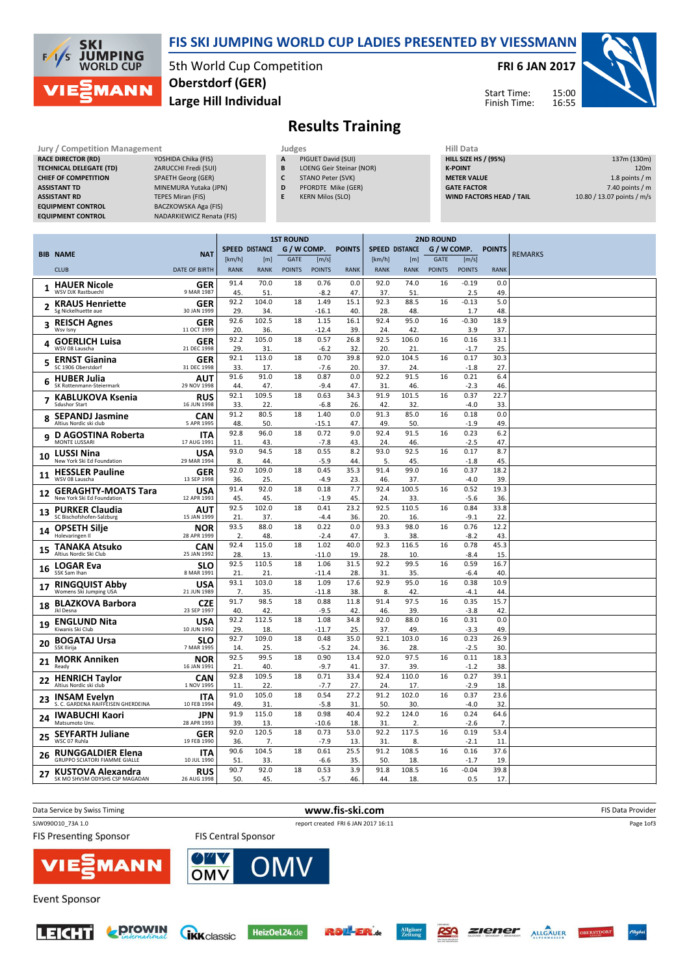

#### FIS SKI JUMPING WORLD CUP LADIES PRESENTED BY VIESSMANN

5th World Cup Competition Large Hill Individual Oberstdorf (GER)

#### FRI 6 JAN 2017

Start Time: Finish Time:



### Results Training

| Jury / Competition Management  |                           | Judges | <b>Hill Data</b>                |                    |
|--------------------------------|---------------------------|--------|---------------------------------|--------------------|
| <b>RACE DIRECTOR (RD)</b>      | YOSHIDA Chika (FIS)       | A      | PIGUET David (SUI)              | <b>HILL SIZE H</b> |
| <b>TECHNICAL DELEGATE (TD)</b> | ZARUCCHI Fredi (SUI)      | B      | <b>LOENG Geir Steinar (NOR)</b> | <b>K-POINT</b>     |
| <b>CHIEF OF COMPETITION</b>    | <b>SPAETH Georg (GER)</b> |        | STANO Peter (SVK)               | <b>METER VAI</b>   |
| <b>ASSISTANT TD</b>            | MINEMURA Yutaka (JPN)     | D      | PFORDTE Mike (GER)              | <b>GATE FACT</b>   |
| <b>ASSISTANT RD</b>            | <b>TEPES Miran (FIS)</b>  | Ε      | <b>KERN Milos (SLO)</b>         | <b>WIND FACT</b>   |
| <b>EQUIPMENT CONTROL</b>       | BACZKOWSKA Aga (FIS)      |        |                                 |                    |
| <b>EQUIPMENT CONTROL</b>       | NADARKIEWICZ Renata (FIS) |        |                                 |                    |

- A PIGUET David (SUI)
- **B** LOENG Geir Steinar (NOR)<br>**C** STANO Peter (SVK) STANO Peter (SVK)
- D PFORDTE Mike (GER)
- E KERN Milos (SLO)
	-
- HILL SIZE HS / (95%) 137m (130m) **K-POINT** 220m METER VALUE 1.8 points / m GATE FACTOR **6** and 5 and 6 and 6 and 7.40 points / m WIND FACTORS HEAD / TAIL 10.80 / 13.07 points / m/s

**ZIENER ALLGÄUER OBERSTDORF** 

|    |                                                                  |                           |                       |              | <b>1ST ROUND</b> |                 |               | <b>2ND ROUND</b>      |              |               |                |                        |                |
|----|------------------------------------------------------------------|---------------------------|-----------------------|--------------|------------------|-----------------|---------------|-----------------------|--------------|---------------|----------------|------------------------|----------------|
|    |                                                                  |                           | <b>SPEED DISTANCE</b> |              | G / W COMP.      |                 | <b>POINTS</b> | <b>SPEED DISTANCE</b> |              | G / W COMP.   |                | <b>POINTS</b>          |                |
|    | <b>BIB NAME</b>                                                  | <b>NAT</b>                | [km/h]                | [m]          | <b>GATE</b>      | [m/s]           |               | [km/h]                | [m]          | <b>GATE</b>   | [m/s]          |                        | <b>REMARKS</b> |
|    | <b>CLUB</b>                                                      | <b>DATE OF BIRTH</b>      | <b>RANK</b>           | <b>RANK</b>  | <b>POINTS</b>    | <b>POINTS</b>   | <b>RANK</b>   | <b>RANK</b>           | <b>RANK</b>  | <b>POINTS</b> | <b>POINTS</b>  | <b>RANK</b>            |                |
| 1  | <b>HAUER Nicole</b><br><b>WSV DIK Rastbuech</b>                  | GER<br>9 MAR 1987         | 91.4<br>45.           | 70.0<br>51.  | 18               | 0.76<br>$-8.2$  | 0.0<br>47.    | 92.0<br>37.           | 74.0<br>51   | 16            | $-0.19$<br>2.5 | 0.0<br>49.             |                |
|    | <b>KRAUS Henriette</b><br>Sg Nickelhuette aue                    | <b>GER</b><br>30 JAN 1999 | 92.2<br>29.           | 104.0<br>34. | 18               | 1.49<br>$-16.1$ | 15.1<br>40    | 92.3<br>28.           | 88.5<br>48.  | 16            | $-0.13$<br>1.7 | 5.0<br>48.             |                |
| 3  | <b>REISCH Agnes</b><br>Wsv Isnv                                  | <b>GER</b><br>11 OCT 1999 | 92.6<br>20.           | 102.5<br>36. | 18               | 1.15<br>$-12.4$ | 16.1<br>39    | 92.4<br>24            | 95.0<br>42   | 16            | -0.30<br>3.9   | 18.9<br>37.            |                |
| 4  | <b>GOERLICH Luisa</b><br>WSV 08 Lauscha                          | <b>GER</b><br>21 DEC 1998 | 92.2<br>29.           | 105.0<br>31. | 18               | 0.57<br>$-6.2$  | 26.8<br>32    | 92.5<br>20.           | 106.0<br>21  | 16            | 0.16<br>$-1.7$ | 33.1<br>25             |                |
| 5  | <b>ERNST Gianina</b><br>SC 1906 Oberstdorf                       | <b>GER</b><br>31 DEC 1998 | 92.1                  | 113.0        | 18               | 0.70            | 39.8          | 92.0                  | 104.5        | 16            | 0.17           | 30.3                   |                |
| 6  | <b>HUBER Julia</b>                                               | AUT                       | 33.<br>91.6           | 17.<br>91.0  | 18               | $-7.6$<br>0.87  | 20<br>0.0     | 37.<br>92.2           | 24<br>91.5   | 16            | $-1.8$<br>0.21 | 27.<br>6.4             |                |
|    | SK Rottenmann-Steiermark<br><b>KABLUKOVA Ksenia</b>              | 29 NOV 1998<br><b>RUS</b> | 44.<br>92.1           | 47.<br>109.5 | 18               | $-9.4$<br>0.63  | 47<br>34.3    | 31<br>91.9            | 46.<br>101.5 | 16            | $-2.3$<br>0.37 | 46.<br>22.7            |                |
| 7  | Sdushor Start                                                    | 16 JUN 1998               | 33.                   | 22.          |                  | $-6.8$          | 26.           | 42.                   | 32.          |               | $-4.0$         | 33                     |                |
| 8  | <b>SEPANDJ Jasmine</b>                                           | CAN                       | 91.2                  | 80.5         | 18               | 1.40            | 0.0           | 91.3                  | 85.0         | 16            | 0.18           | 0.0                    |                |
|    | Altius Nordic ski club                                           | 5 APR 1995<br><b>ITA</b>  | 48.<br>92.8           | 50.<br>96.0  | 18               | -15.1<br>0.72   | 47<br>9.0     | 49.<br>92.4           | 50.<br>91.5  | 16            | $-1.9$<br>0.23 | 49<br>6.2              |                |
| 9  | D AGOSTINA Roberta<br>MONTE LUSSARI                              | 17 AUG 1991               | 11.                   | 43.          |                  | $-7.8$          | 43            | 24                    | 46.          |               | $-2.5$         | 47.                    |                |
| 10 | <b>LUSSI Nina</b><br>New York Ski Ed Foundation                  | <b>USA</b><br>29 MAR 1994 | 93.0<br>8.            | 94.5<br>44.  | 18               | 0.55<br>$-5.9$  | 8.2<br>44     | 93.0<br>5.            | 92.5<br>45.  | 16            | 0.17<br>$-1.8$ | 8.7<br>45              |                |
| 11 | <b>HESSLER Pauline</b><br>WSV 08 Lauscha                         | <b>GER</b><br>13 SEP 1998 | 92.0<br>36.           | 109.0<br>25. | 18               | 0.45<br>$-4.9$  | 35.3<br>23    | 91.4<br>46.           | 99.0<br>37.  | 16            | 0.37<br>-4.0   | 18.2<br>39.            |                |
| 12 | <b>GERAGHTY-MOATS Tara</b><br>New York Ski Ed Foundation         | <b>USA</b><br>12 APR 1993 | 91.4<br>45.           | 92.0<br>45.  | 18               | 0.18<br>$-1.9$  | 7.7<br>45     | 92.4<br>24            | 100.5<br>33. | 16            | 0.52<br>$-5.6$ | 19.3<br>36.            |                |
| 13 | <b>PURKER Claudia</b><br>SC Bischofshofen-Salzburg               | AUT<br>15 JAN 1999        | 92.5<br>21.           | 102.0<br>37. | 18               | 0.41<br>$-4.4$  | 23.2<br>36.   | 92.5<br>20.           | 110.5<br>16. | 16            | 0.84<br>$-9.1$ | 33.8<br>22             |                |
| 14 | <b>OPSETH Silje</b><br>Holevaringen II                           | <b>NOR</b><br>28 APR 1999 | 93.5<br>2.            | 88.0<br>48.  | 18               | 0.22<br>$-2.4$  | 0.0<br>47     | 93.3<br>3.            | 98.0<br>38.  | 16            | 0.76<br>$-8.2$ | 12.2<br>43             |                |
| 15 | <b>TANAKA Atsuko</b>                                             | CAN                       | 92.4                  | 115.0        | 18               | 1.02            | 40.0          | 92.3                  | 116.5        | 16            | 0.78           | 45.3                   |                |
| 16 | Altius Nordic Ski Club<br><b>LOGAR Eva</b>                       | 25 JAN 1992<br><b>SLO</b> | 28.<br>92.5           | 13.<br>110.5 | 18               | $-11.0$<br>1.06 | 19<br>31.5    | 28.<br>92.2           | 10.<br>99.5  | 16            | $-8.4$<br>0.59 | 15.<br>16.7            |                |
|    | SSK Sam Ihan                                                     | 8 MAR 1991                | 21<br>93.1            | 21.<br>103.0 | 18               | $-11.4$<br>1.09 | 28<br>17.6    | 31.<br>92.9           | 35.<br>95.0  | 16            | $-6.4$<br>0.38 | 40<br>10.9             |                |
| 17 | <b>RINGQUIST Abby</b><br>Womens Ski Jumping USA                  | USA<br>21 JUN 1989        | 7.                    | 35.          |                  | $-11.8$         | 38.           | 8.                    | 42.          |               | $-4.1$         | 44                     |                |
| 18 | <b>BLAZKOVA Barbora</b><br>Jkl Desna                             | <b>CZE</b><br>23 SEP 1997 | 91.7<br>40.           | 98.5<br>42.  | 18               | 0.88<br>$-9.5$  | 11.8<br>42    | 91.4<br>46.           | 97.5<br>39   | 16            | 0.35<br>$-3.8$ | 15.7<br>42             |                |
| 19 | <b>ENGLUND Nita</b><br>Kiwanis Ski Club                          | USA<br>10 JUN 1992        | 92.2<br>29.           | 112.5<br>18. | 18               | 1.08<br>$-11.7$ | 34.8<br>25.   | 92.0<br>37.           | 88.0<br>49.  | 16            | 0.31<br>$-3.3$ | 0.0<br>49.             |                |
| 20 | <b>BOGATAJ Ursa</b><br>SSK Ilirija                               | <b>SLO</b><br>7 MAR 1995  | 92.7<br>14.           | 109.0<br>25. | 18               | 0.48<br>$-5.2$  | 35.0<br>24    | 92.1<br>36.           | 103.0<br>28. | 16            | 0.23<br>$-2.5$ | 26.9<br>30             |                |
| 21 | <b>MORK Anniken</b><br>Ready                                     | <b>NOR</b><br>16 JAN 1991 | 92.5<br>21.           | 99.5<br>40.  | 18               | 0.90<br>$-9.7$  | 13.4<br>41    | 92.0<br>37.           | 97.5<br>39.  | 16            | 0.11<br>$-1.2$ | 18.3<br>38.            |                |
| 22 | <b>HENRICH Taylor</b><br>Altius Nordic ski club                  | CAN<br>1 NOV 1995         | 92.8<br>11.           | 109.5<br>22. | 18               | 0.71<br>$-7.7$  | 33.4<br>27    | 92.4<br>24            | 110.0<br>17  | 16            | 0.27<br>$-2.9$ | 39.1<br>18.            |                |
| 23 | <b>INSAM Evelyn</b>                                              | <b>ITA</b>                | 91.0                  | 105.0        | 18               | 0.54            | 27.2          | 91.2                  | 102.0        | 16            | 0.37           | 23.6                   |                |
| 24 | S. C. GARDENA RAIFFEISEN GHERDEINA<br><b>IWABUCHI Kaori</b>      | 10 FEB 1994<br>JPN        | 49.<br>91.9           | 31.<br>115.0 | 18               | $-5.8$<br>0.98  | 31<br>40.4    | 50.<br>92.2           | 30.<br>124.0 | 16            | $-4.0$<br>0.24 | 32.<br>64.6            |                |
|    | Matsumoto Unv.                                                   | 28 APR 1993               | 39.<br>92.0           | 13.<br>120.5 | 18               | -10.6<br>0.73   | 18<br>53.0    | 31<br>92.2            | 2.<br>117.5  | 16            | $-2.6$<br>0.19 | 7 <sub>1</sub><br>53.4 |                |
| 25 | <b>SEYFARTH Juliane</b><br>WSC 07 Ruhla                          | <b>GER</b><br>19 FEB 1990 | 36.                   | 7.           |                  | $-7.9$          | 13            | 31.                   | 8.           |               | $-2.1$         | 11                     |                |
| 26 | <b>RUNGGALDIER Elena</b><br><b>GRUPPO SCIATORI FIAMME GIALLE</b> | <b>ITA</b><br>10 JUL 1990 | 90.6<br>51            | 104.5<br>33. | 18               | 0.61<br>-6.6    | 25.5<br>35    | 91.2<br>50.           | 108.5<br>18. | 16            | 0.16<br>$-1.7$ | 37.6<br>19.            |                |
| 27 | KUSTOVA Alexandra<br>SK MO SHVSM ODYSHS CSP MAGADAN              | <b>RUS</b><br>26 AUG 1998 | 90.7<br>50.           | 92.0<br>45.  | 18               | 0.53<br>$-5.7$  | 3.9<br>46.    | 91.8<br>44.           | 108.5<br>18. | 16            | $-0.04$<br>0.5 | 39.8<br>17.            |                |
|    |                                                                  |                           |                       |              |                  |                 |               |                       |              |               |                |                        |                |











RSA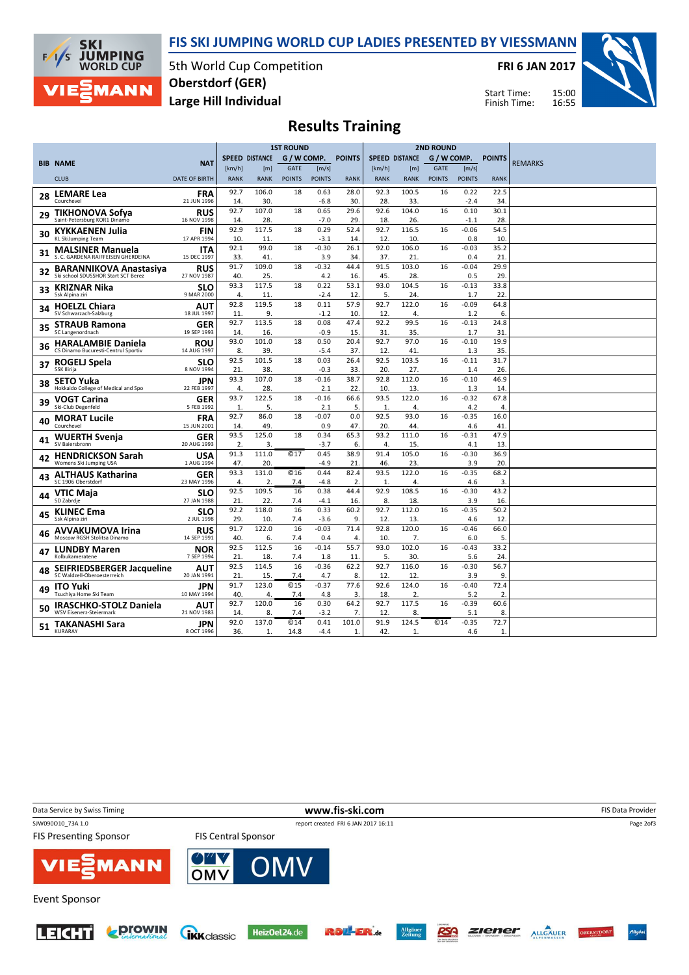



5th World Cup Competition Large Hill Individual Oberstdorf (GER)

FRI 6 JAN 2017

Start Time: Finish Time:



# Results Training

|    |                                                                  |                           |                       |              | <b>1ST ROUND</b>   |                   |               | <b>2ND ROUND</b>      |                  |               |                |                |                |
|----|------------------------------------------------------------------|---------------------------|-----------------------|--------------|--------------------|-------------------|---------------|-----------------------|------------------|---------------|----------------|----------------|----------------|
|    |                                                                  |                           | <b>SPEED DISTANCE</b> |              | G / W COMP.        |                   | <b>POINTS</b> | <b>SPEED DISTANCE</b> |                  | G / W COMP.   |                | <b>POINTS</b>  |                |
|    | <b>BIB NAME</b>                                                  | <b>NAT</b>                | [km/h]                | [m]          | <b>GATE</b>        | [m/s]             |               | [km/h]                | [ <sub>m</sub> ] | <b>GATE</b>   | [m/s]          |                | <b>REMARKS</b> |
|    | <b>CLUB</b>                                                      | <b>DATE OF BIRTH</b>      | <b>RANK</b>           | <b>RANK</b>  | <b>POINTS</b>      | <b>POINTS</b>     | <b>RANK</b>   | <b>RANK</b>           | <b>RANK</b>      | <b>POINTS</b> | <b>POINTS</b>  | <b>RANK</b>    |                |
|    | <b>LEMARE Lea</b>                                                | <b>FRA</b>                | 92.7                  | 106.0        | 18                 | 0.63              | 28.0          | 92.3                  | 100.5            | 16            | 0.22           | 22.5           |                |
| 28 | Courchevel                                                       | 21 JUN 1996               | 14.                   | 30.          |                    | $-6.8$            | 30.           | 28.                   | 33.              |               | $-2.4$         | 34.            |                |
| 29 | <b>TIKHONOVA Sofya</b>                                           | RUS                       | 92.7                  | 107.0        | 18                 | 0.65              | 29.6          | 92.6                  | 104.0            | 16            | 0.10           | 30.1           |                |
|    | Saint-Petersburg KOR1 Dinamo                                     | 16 NOV 1998               | 14.                   | 28.          |                    | $-7.0$            | 29.           | 18.                   | 26.              |               | $-1.1$         | 28.            |                |
| 30 | <b>KYKKAENEN Julia</b>                                           | <b>FIN</b>                | 92.9                  | 117.5        | 18                 | 0.29              | 52.4          | 92.7                  | 116.5            | 16            | $-0.06$        | 54.5           |                |
|    | <b>KL SkiJumping Team</b>                                        | 17 APR 1994               | 10.<br>92.1           | 11.<br>99.0  | 18                 | $-3.1$<br>$-0.30$ | 14<br>26.1    | 12.<br>92.0           | 10.<br>106.0     |               | 0.8<br>$-0.03$ | 10.            |                |
| 31 | <b>MALSINER Manuela</b><br>S. C. GARDENA RAIFFEISEN GHERDEINA    | <b>ITA</b><br>15 DEC 1997 | 33.                   | 41.          |                    | 3.9               | 34.           | 37.                   | 21.              | 16            | 0.4            | 35.2<br>21.    |                |
|    | <b>BARANNIKOVA Anastasiya</b>                                    | RUS                       | 91.7                  | 109.0        | 18                 | $-0.32$           | 44.4          | 91.5                  | 103.0            | 16            | $-0.04$        | 29.9           |                |
| 32 | Ski school SDUSSHOR Start SCT Berez                              | 27 NOV 1987               | 40.                   | 25.          |                    | 4.2               | 16.           | 45.                   | 28.              |               | 0.5            | 29.            |                |
| 33 | <b>KRIZNAR Nika</b>                                              | <b>SLO</b>                | 93.3                  | 117.5        | 18                 | 0.22              | 53.1          | 93.0                  | 104.5            | 16            | $-0.13$        | 33.8           |                |
|    | Ssk Alpina ziri                                                  | 9 MAR 2000                | 4.                    | 11           |                    | $-2.4$            | 12            | 5.                    | 24               |               | 1.7            | 22.            |                |
| 34 | <b>HOELZL Chiara</b>                                             | AUT                       | 92.8                  | 119.5        | 18                 | 0.11              | 57.9          | 92.7                  | 122.0            | 16            | $-0.09$        | 64.8           |                |
|    | SV Schwarzach-Salzburg                                           | 18 JUL 1997               | 11.                   | 9.           |                    | $-1.2$            | 10.           | 12.                   | 4.               |               | 1.2            | 6.             |                |
| 35 | <b>STRAUB Ramona</b>                                             | <b>GER</b>                | 92.7                  | 113.5        | 18                 | 0.08              | 47.4          | 92.2                  | 99.5             | 16            | $-0.13$        | 24.8           |                |
|    | SC Langenordnach                                                 | 19 SEP 1993               | 14.<br>93.0           | 16.<br>101.0 | 18                 | $-0.9$<br>0.50    | 15.<br>20.4   | 31.<br>92.7           | 35.<br>97.0      | 16            | 1.7<br>$-0.10$ | 31.<br>19.9    |                |
| 36 | <b>HARALAMBIE Daniela</b><br>CS Dinamo Bucuresti-Centrul Sportiv | <b>ROU</b><br>14 AUG 1997 | 8.                    | 39.          |                    | $-5.4$            | 37.           | 12.                   | 41               |               | 1.3            | 35.            |                |
|    |                                                                  | <b>SLO</b>                | 92.5                  | 101.5        | 18                 | 0.03              | 26.4          | 92.5                  | 103.5            | 16            | $-0.11$        | 31.7           |                |
| 37 | ROGELJ Spela<br>SSK Ilirija                                      | 8 NOV 1994                | 21                    | 38.          |                    | $-0.3$            | 33.           | 20.                   | 27.              |               | 1.4            | 26.            |                |
|    | <b>SETO Yuka</b>                                                 | <b>JPN</b>                | 93.3                  | 107.0        | 18                 | $-0.16$           | 38.7          | 92.8                  | 112.0            | 16            | $-0.10$        | 46.9           |                |
| 38 | Hokkaido College of Medical and Spo                              | 22 FEB 1997               | 4.                    | 28           |                    | 2.1               | 22.           | 10.                   | 13.              |               | 1.3            | 14.            |                |
| 39 | <b>VOGT Carina</b>                                               | GER                       | 93.7                  | 122.5        | 18                 | $-0.16$           | 66.6          | 93.5                  | 122.0            | 16            | $-0.32$        | 67.8           |                |
|    | Ski-Club Degenfeld                                               | 5 FEB 1992                | 1.                    | 5.           |                    | 2.1               | 5.            | 1.                    | 4.               |               | 4.2            | $\overline{4}$ |                |
| 40 | <b>MORAT Lucile</b>                                              | <b>FRA</b>                | 92.7                  | 86.0         | 18                 | $-0.07$           | 0.0           | 92.5                  | 93.0             | 16            | $-0.35$        | 16.0           |                |
|    | Courchevel                                                       | 15 JUN 2001               | 14.                   | 49.          |                    | 0.9               | 47.           | 20.                   | 44.              |               | 4.6            | 41             |                |
| 41 | <b>WUERTH Svenja</b><br>SV Baiersbronn                           | GER<br>20 AUG 1993        | 93.5<br>2.            | 125.0<br>3.  | 18                 | 0.34<br>$-3.7$    | 65.3<br>6.    | 93.2<br>4.            | 111.0<br>15.     | 16            | $-0.31$<br>4.1 | 47.9<br>13.    |                |
|    |                                                                  |                           | 91.3                  | 111.0        | @17                | 0.45              | 38.9          | 91.4                  | 105.0            | 16            | $-0.30$        | 36.9           |                |
| 42 | <b>HENDRICKSON Sarah</b><br>Womens Ski Jumping USA               | <b>USA</b><br>1 AUG 1994  | 47.                   | 20.          |                    | $-4.9$            | 21            | 46.                   | 23.              |               | 3.9            | 20.            |                |
|    | <b>ALTHAUS Katharina</b>                                         | GER                       | 93.3                  | 131.0        | C <sub>16</sub>    | 0.44              | 82.4          | 93.5                  | 122.0            | 16            | $-0.35$        | 68.2           |                |
| 43 | SC 1906 Oberstdorf                                               | 23 MAY 1996               | 4.                    | 2.           | 7.4                | $-4.8$            | 2.            | 1.                    | 4.               |               | 4.6            | 3.             |                |
| 44 | <b>VTIC Maja</b>                                                 | <b>SLO</b>                | 92.5                  | 109.5        | 16                 | 0.38              | 44.4          | 92.9                  | 108.5            | 16            | $-0.30$        | 43.2           |                |
|    | SD Zabrdje                                                       | 27 JAN 1988               | 21.                   | 22.          | 7.4                | $-4.1$            | 16.           | 8.                    | 18.              |               | 3.9            | 16.            |                |
| 45 | <b>KLINEC Ema</b>                                                | <b>SLO</b>                | 92.2                  | 118.0        | 16                 | 0.33              | 60.2          | 92.7                  | 112.0            | 16            | $-0.35$        | 50.2           |                |
|    | Ssk Alpina ziri                                                  | 2 JUL 1998                | 29.                   | 10.          | 7.4                | $-3.6$            | 9.            | 12                    | 13               |               | 4.6            | 12             |                |
| 46 | <b>AVVAKUMOVA Irina</b><br>Moscow RGSH Stolitsa Dinamo           | RUS<br>14 SEP 1991        | 91.7<br>40.           | 122.0<br>6.  | 16<br>7.4          | $-0.03$<br>0.4    | 71.4<br>4.    | 92.8<br>10.           | 120.0<br>7.      | 16            | $-0.46$<br>6.0 | 66.0<br>5.     |                |
|    |                                                                  |                           | 92.5                  | 112.5        | 16                 | $-0.14$           | 55.7          | 93.0                  | 102.0            | 16            | $-0.43$        | 33.2           |                |
| 47 | <b>LUNDBY Maren</b><br>Kolbukameratene                           | <b>NOR</b><br>7 SEP 1994  | 21.                   | 18.          | 7.4                | 1.8               | 11            | 5.                    | 30.              |               | 5.6            | 24.            |                |
|    | SEIFRIEDSBERGER Jacqueline                                       | AUT                       | 92.5                  | 114.5        | 16                 | $-0.36$           | 62.2          | 92.7                  | 116.0            | 16            | $-0.30$        | 56.7           |                |
| 48 | SC Waldzell-Oberoesterreich                                      | 20 JAN 1991               | 21.                   | 15.          | 7.4                | 4.7               | 8.            | 12.                   | 12.              |               | 3.9            | 9.             |                |
| 49 | <b>ITO Yuki</b>                                                  | JPN                       | 91.7                  | 123.0        | <b>©15</b>         | $-0.37$           | 77.6          | 92.6                  | 124.0            | 16            | $-0.40$        | 72.4           |                |
|    | Tsuchiya Home Ski Team                                           | 10 MAY 1994               | 40.                   | 4.           | 7.4                | 4.8               | 3.            | 18.                   | 2.               |               | 5.2            | 2              |                |
| 50 | <b>IRASCHKO-STOLZ Daniela</b>                                    | AUT                       | 92.7                  | 120.0        | 16                 | 0.30              | 64.2          | 92.7                  | 117.5            | 16            | $-0.39$        | 60.6           |                |
|    | <b>WSV Eisenerz-Steiermark</b>                                   | 21 NOV 1983               | 14                    | 8            | 7.4                | $-3.2$            | 7.            | 12.                   | 8.               |               | 5.1            | 8.             |                |
| 51 | <b>TAKANASHI Sara</b><br>KURARAY                                 | <b>JPN</b><br>8 OCT 1996  | 92.0<br>36.           | 137.0<br>1.  | <b>©14</b><br>14.8 | 0.41<br>$-4.4$    | 101.0<br>1.   | 91.9<br>42.           | 124.5<br>1.      | <b>©14</b>    | $-0.35$<br>4.6 | 72.7<br>1.     |                |
|    |                                                                  |                           |                       |              |                    |                   |               |                       |                  |               |                |                |                |